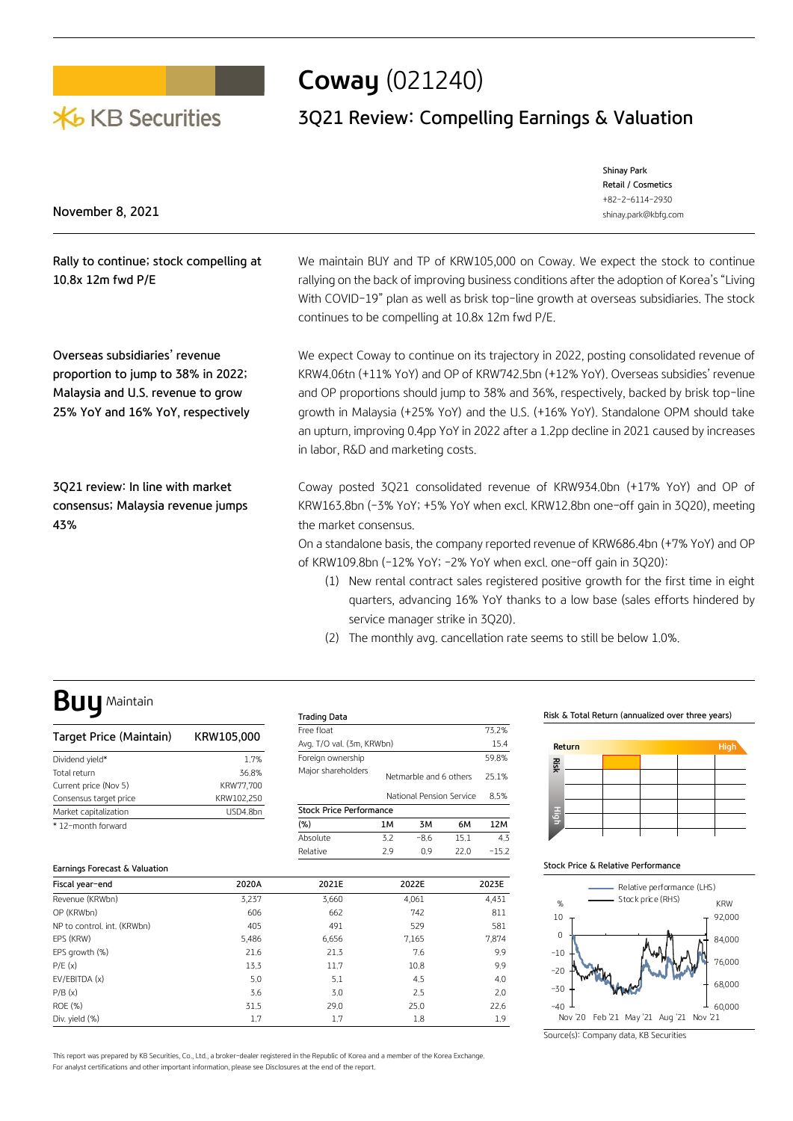

# **Coway** (021240)

# **3Q21 Review: Compelling Earnings & Valuation**

|                  | Shinay Park          |
|------------------|----------------------|
|                  | Retail / Cosmetics   |
|                  | +82-2-6114-2930      |
| November 8, 2021 | shinay.park@kbfg.com |
|                  |                      |

| Rally to continue; stock compelling at |  |
|----------------------------------------|--|
| 10.8x 12m fwd P/E                      |  |

**Overseas subsidiaries' revenue proportion to jump to 38% in 2022; Malaysia and U.S. revenue to grow 25% YoY and 16% YoY, respectively**

**3Q21 review: In line with market consensus; Malaysia revenue jumps 43%**

We maintain BUY and TP of KRW105,000 on Coway. We expect the stock to continue rallying on the back of improving business conditions after the adoption of Korea's "Living With COVID-19" plan as well as brisk top-line growth at overseas subsidiaries. The stock continues to be compelling at 10.8x 12m fwd P/E.

We expect Coway to continue on its trajectory in 2022, posting consolidated revenue of KRW4.06tn (+11% YoY) and OP of KRW742.5bn (+12% YoY). Overseas subsidies' revenue and OP proportions should jump to 38% and 36%, respectively, backed by brisk top-line growth in Malaysia (+25% YoY) and the U.S. (+16% YoY). Standalone OPM should take an upturn, improving 0.4pp YoY in 2022 after a 1.2pp decline in 2021 caused by increases in labor, R&D and marketing costs.

Coway posted 3Q21 consolidated revenue of KRW934.0bn (+17% YoY) and OP of KRW163.8bn (-3% YoY; +5% YoY when excl. KRW12.8bn one-off gain in 3Q20), meeting the market consensus.

On a standalone basis, the company reported revenue of KRW686.4bn (+7% YoY) and OP of KRW109.8bn (-12% YoY; -2% YoY when excl. one-off gain in 3Q20):

- (1) New rental contract sales registered positive growth for the first time in eight quarters, advancing 16% YoY thanks to a low base (sales efforts hindered by service manager strike in 3Q20).
- (2) The monthly avg. cancellation rate seems to still be below 1.0%.

# **Buy** Maintain

| Target Price (Maintain) | KRW105,000 |
|-------------------------|------------|
| Dividend vield*         | 1.7%       |
| Total return            | 36.8%      |
| Current price (Nov 5)   | KRW77.700  |
| Consensus target price  | KRW102,250 |
| Market capitalization   | USD4.8bn   |
| * 12-month forward      |            |

#### **Earnings Forecast & Valuation**

| Free float                     |                          |                        |      | 73.2% |  |  |  |  |  |
|--------------------------------|--------------------------|------------------------|------|-------|--|--|--|--|--|
| Avg. T/O val. (3m, KRWbn)      |                          |                        |      |       |  |  |  |  |  |
| Foreign ownership              |                          |                        |      | 59.8% |  |  |  |  |  |
| Major shareholders             |                          | Netmarble and 6 others |      |       |  |  |  |  |  |
|                                | National Pension Service |                        |      |       |  |  |  |  |  |
| <b>Stock Price Performance</b> |                          |                        |      |       |  |  |  |  |  |
| (% )                           | 1M                       | 3M                     | 6M   | 12M   |  |  |  |  |  |
| Absolute                       | 3.2                      | $-8.6$                 | 15.1 | 4.3   |  |  |  |  |  |
| Relative                       | 2.9                      | $-15.2$                |      |       |  |  |  |  |  |

**Risk & Total Return (annualized over three years)**



#### **Stock Price & Relative Performance**



| Fiscal year-end             | 2020A | 2021E | 2022E | 2023E |
|-----------------------------|-------|-------|-------|-------|
| Revenue (KRWbn)             | 3,237 | 3,660 | 4,061 | 4,431 |
| OP (KRWbn)                  | 606   | 662   | 742   | 811   |
| NP to control, int. (KRWbn) | 405   | 491   | 529   | 581   |
| EPS (KRW)                   | 5,486 | 6,656 | 7,165 | 7,874 |
| EPS growth (%)              | 21.6  | 21.3  | 7.6   | 9.9   |
| P/E(x)                      | 13.3  | 11.7  | 10.8  | 9.9   |
| EV/EBITDA (x)               | 5.0   | 5.1   | 4.5   | 4.0   |
| P/B(x)                      | 3.6   | 3,0   | 2.5   | 2.0   |
| <b>ROE (%)</b>              | 31.5  | 29.0  | 25.0  | 22.6  |
| Div. yield (%)              | 1.7   | 1.7   | 1.8   | 1.9   |

This report was prepared by KB Securities, Co., Ltd., a broker-dealer registered in the Republic of Korea and a member of the Korea Exchange. For analyst certifications and other important information, please see Disclosures at the end of the report.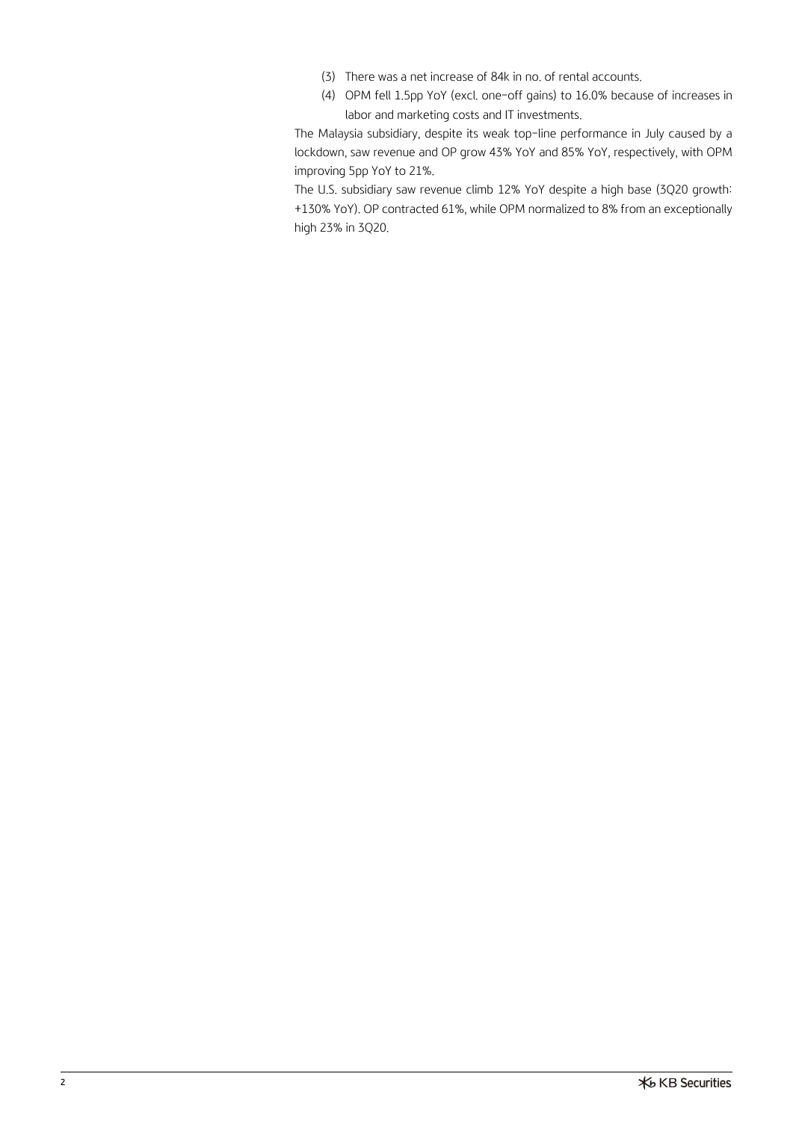- (3) There was a net increase of 84k in no. of rental accounts.
- (4) OPM fell 1.5pp YoY (excl. one-off gains) to 16.0% because of increases in labor and marketing costs and IT investments.

The Malaysia subsidiary, despite its weak top-line performance in July caused by a lockdown, saw revenue and OP grow 43% YoY and 85% YoY, respectively, with OPM improving 5pp YoY to 21%.

The U.S. subsidiary saw revenue climb 12% YoY despite a high base (3Q20 growth: +130% YoY). OP contracted 61%, while OPM normalized to 8% from an exceptionally high 23% in 3Q20.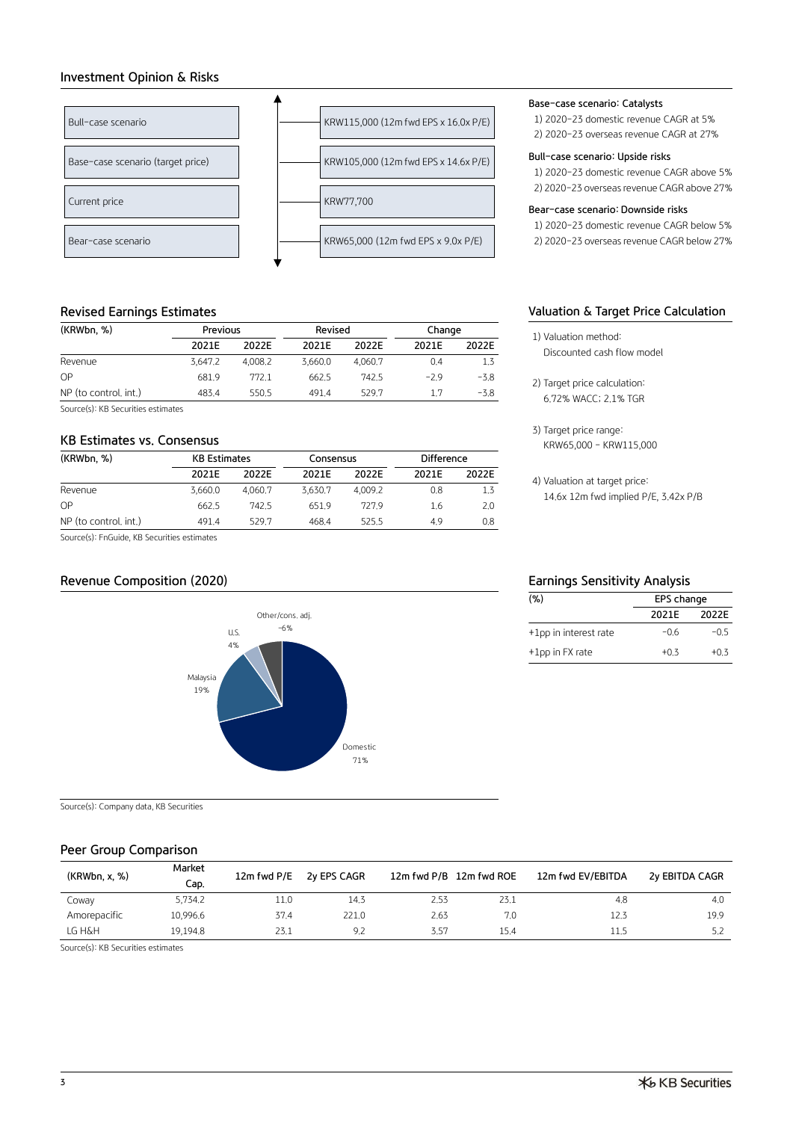# **Investment Opinion & Risks**



# **Revised Earnings Estimates**

| (KRWbn, %)            | Previous |         | Revised |         | Change |        |
|-----------------------|----------|---------|---------|---------|--------|--------|
|                       | 2021E    | 2022E   | 2021E   | 2022F   | 2021E  | 2022E  |
| Revenue               | 3.647.2  | 4.008.2 | 3.660.0 | 4.060.7 | 0.4    | 1.3    |
| OP                    | 681.9    | 772.1   | 662.5   | 742.5   | $-2.9$ | $-3.8$ |
| NP (to control, int.) | 483.4    | 550.5   | 491.4   | 529.7   | 1.7    | -3.8   |

Source(s): KB Securities estimates

## **KB Estimates vs. Consensus**

| (KRWbn, %)            | <b>KB Estimates</b> |         | Consensus      |         | Difference |       |  |
|-----------------------|---------------------|---------|----------------|---------|------------|-------|--|
|                       | 2021E               | 2022F   | 2021F          | 2022F   | 2021E      | 2022E |  |
| Revenue               | 3.660.0             | 4.060.7 | 3.630.7        | 4.009.2 | 0.8        | 1.3   |  |
| OP                    | 662.5               | 742.5   | 651.9          | 7279    | 1.6        | 2.0   |  |
| NP (to control, int.) | 491.4               | 529.7   | 468.4<br>525.5 |         | 4.9        | 0.8   |  |

Source(s): FnGuide, KB Securities estimates

# **Revenue Composition (2020) Earnings Sensitivity Analysis**



Source(s): Company data, KB Securities

# **Peer Group Comparison**

| (KRWbn, x, %)<br>Cap.    | 12m fwd P/E | 2y EPS CAGR | 12m fwd P/B 12m fwd ROE |      | 12m fwd EV/EBITDA | 2y EBITDA CAGR |
|--------------------------|-------------|-------------|-------------------------|------|-------------------|----------------|
| 5,734,2<br>Coway         | 11.0        | 14.3        | 2.53                    | 23.1 | 4.8               | 4.0            |
| 10,996.6<br>Amorepacific | 37.4        | 221.0       | 2.63                    | 7.0  | 12.3              | 19.9           |
| 19.194.8<br>LG H&H       | 23.1        | 9.2         | 3.57                    | 15.4 | 11.5              | 5.2            |

Source(s): KB Securities estimates

### **Base-case scenario: Catalysts**

1) 2020-23 domestic revenue CAGR at 5% 2) 2020-23 overseas revenue CAGR at 27%

#### **Bull-case scenario: Upside risks**

1) 2020-23 domestic revenue CAGR above 5% 2) 2020-23 overseas revenue CAGR above 27%

### **Bear-case scenario: Downside risks**

1) 2020-23 domestic revenue CAGR below 5% 2) 2020-23 overseas revenue CAGR below 27%

# **Valuation & Target Price Calculation**

- 1) Valuation method: Discounted cash flow model
- 2) Target price calculation: 6.72% WACC; 2.1% TGR
- 3) Target price range: KRW65,000 – KRW115,000

4) Valuation at target price: 14.6x 12m fwd implied P/E, 3.42x P/B

| (% )                  | EPS change |        |
|-----------------------|------------|--------|
|                       | 2021F      | 2022F  |
| +1pp in interest rate | $-06$      | $-0.5$ |
| +1pp in FX rate       | $+0.3$     | $+0.3$ |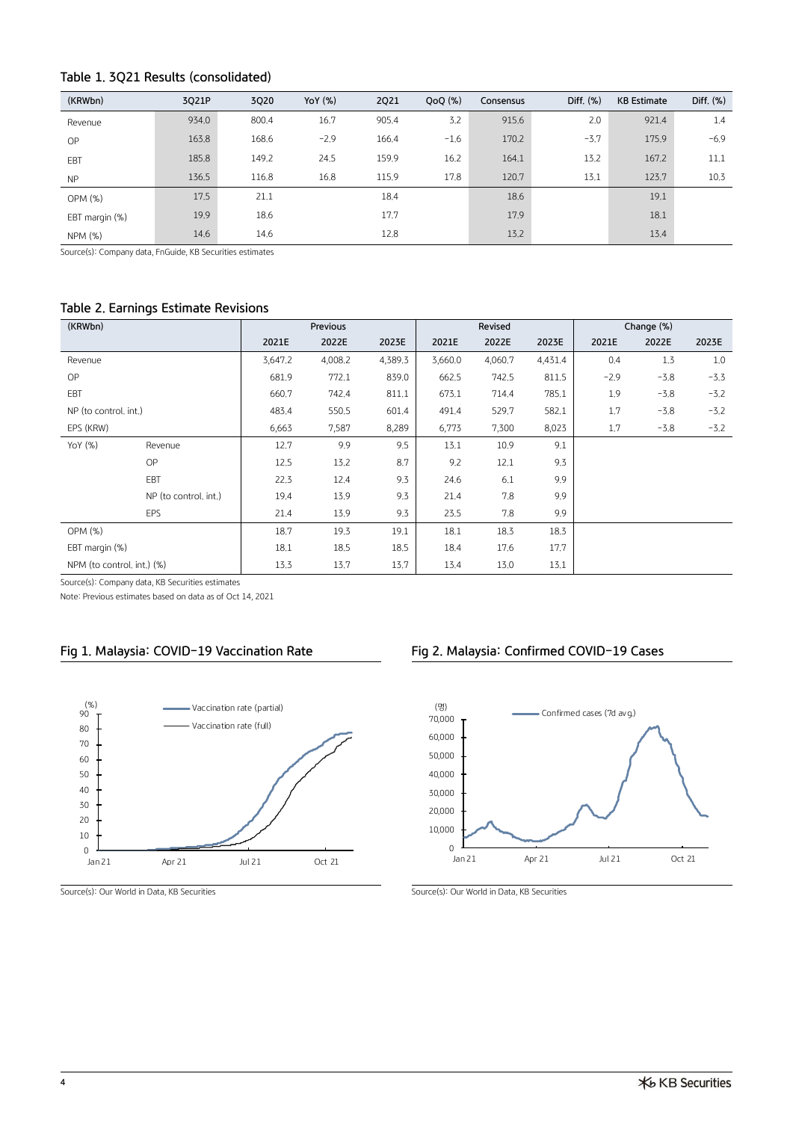# **Table 1. 3Q21 Results (consolidated)**

| (KRWbn)        | 3Q21P | 3020  | YoY (%) | <b>2Q21</b> | $QoQ$ $(\%)$<br>Consensus |       | Diff. $(\%)$ | <b>KB Estimate</b> | Diff. $(\%)$ |
|----------------|-------|-------|---------|-------------|---------------------------|-------|--------------|--------------------|--------------|
| Revenue        | 934.0 | 800.4 | 16.7    | 905.4       | 3.2                       | 915.6 | 2,0          | 921.4              | 1.4          |
| OP             | 163.8 | 168.6 | $-2.9$  | 166.4       | $-1.6$                    | 170.2 | $-3.7$       | 175.9              | $-6.9$       |
| EBT            | 185.8 | 149.2 | 24.5    | 159.9       | 16.2                      | 164.1 | 13.2         | 167.2              | 11.1         |
| <b>NP</b>      | 136.5 | 116.8 | 16.8    | 115.9       | 17.8                      | 120.7 | 13.1         | 123.7              | 10.3         |
| OPM (%)        | 17.5  | 21.1  |         | 18.4        |                           | 18.6  |              | 19.1               |              |
| EBT margin (%) | 19.9  | 18.6  |         | 17.7        |                           | 17.9  |              | 18.1               |              |
| NPM (%)        | 14.6  | 14.6  |         | 12,8        |                           | 13.2  |              | 13.4               |              |

Source(s): Company data, FnGuide, KB Securities estimates

# **Table 2. Earnings Estimate Revisions**

| (KRWbn)                    |                       |         | Previous |         |         | Revised |         |        | Change (%) |        |
|----------------------------|-----------------------|---------|----------|---------|---------|---------|---------|--------|------------|--------|
|                            |                       | 2021E   | 2022E    | 2023E   | 2021E   | 2022E   | 2023E   | 2021E  | 2022E      | 2023E  |
| Revenue                    |                       | 3,647.2 | 4,008.2  | 4,389.3 | 3,660.0 | 4,060.7 | 4,431.4 | 0.4    | 1.3        | 1.0    |
| OP                         |                       | 681.9   | 772.1    | 839.0   | 662.5   | 742.5   | 811.5   | $-2.9$ | $-3.8$     | $-3.3$ |
| EBT                        |                       | 660.7   | 742.4    | 811.1   | 673.1   | 714.4   | 785.1   | 1.9    | $-3.8$     | $-3.2$ |
| NP (to control. int.)      |                       | 483.4   | 550.5    | 601.4   | 491.4   | 529.7   | 582.1   | 1.7    | $-3.8$     | $-3.2$ |
| EPS (KRW)                  |                       | 6,663   | 7,587    | 8,289   | 6,773   | 7,300   | 8,023   | 1.7    | $-3.8$     | $-3.2$ |
| YoY (%)                    | Revenue               | 12.7    | 9.9      | 9.5     | 13.1    | 10.9    | 9.1     |        |            |        |
|                            | OP                    | 12.5    | 13.2     | 8.7     | 9.2     | 12.1    | 9.3     |        |            |        |
|                            | EBT                   | 22.3    | 12.4     | 9.3     | 24.6    | 6.1     | 9.9     |        |            |        |
|                            | NP (to control, int.) | 19.4    | 13.9     | 9.3     | 21.4    | 7.8     | 9.9     |        |            |        |
|                            | EPS                   | 21.4    | 13.9     | 9.3     | 23.5    | 7.8     | 9.9     |        |            |        |
| OPM(%)                     |                       | 18.7    | 19.3     | 19.1    | 18.1    | 18.3    | 18.3    |        |            |        |
| EBT margin (%)             |                       | 18.1    | 18.5     | 18.5    | 18.4    | 17.6    | 17.7    |        |            |        |
| NPM (to control, int.) (%) |                       | 13.3    | 13.7     | 13.7    | 13.4    | 13.0    | 13.1    |        |            |        |

Source(s): Company data, KB Securities estimates

Note: Previous estimates based on data as of Oct 14, 2021



Source(s): Our World in Data, KB Securities Source(s): Our World in Data, KB Securities

# **Fig 1. Malaysia: COVID-19 Vaccination Rate Fig 2. Malaysia: Confirmed COVID-19 Cases**

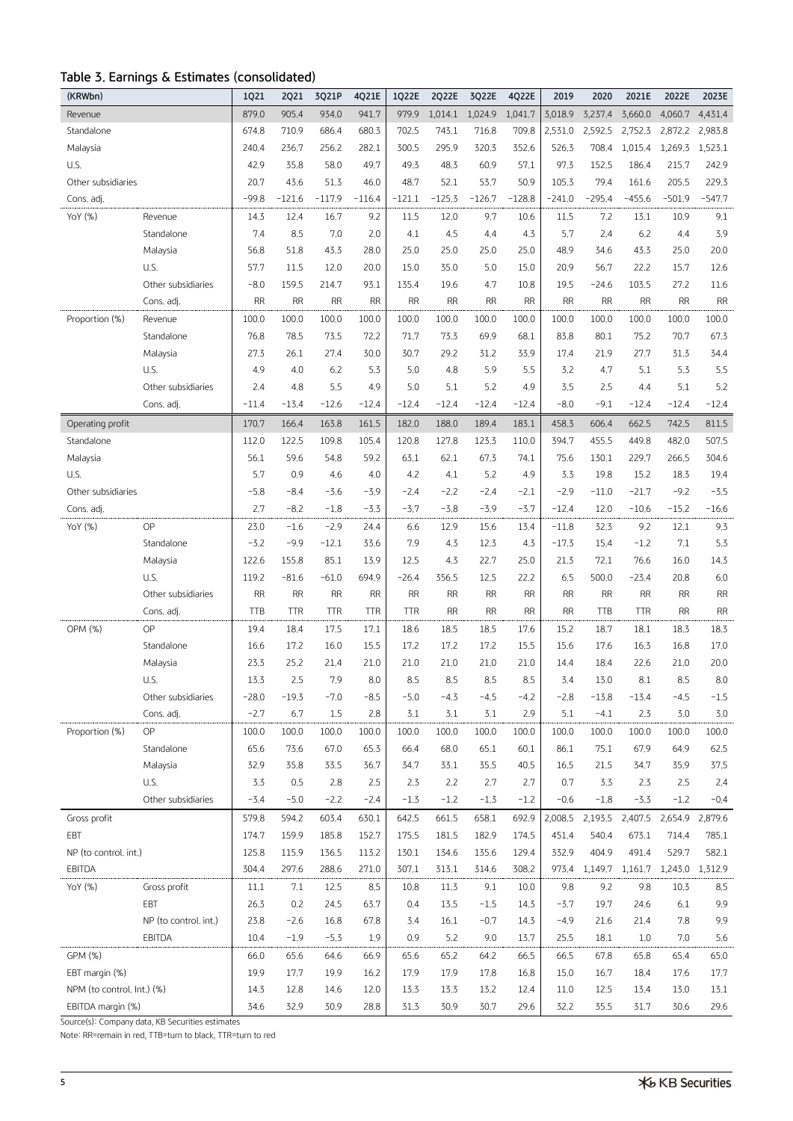# **Table 3. Earnings & Estimates (consolidated)**

| (KRWbn)                    |                       | 1Q21       | <b>2Q21</b> | 3Q21P      | 4Q21E      | 1Q22E      | 2022E     | 3Q22E     | 4Q22E     | 2019      | 2020          | 2021E      | 2022E     | 2023E     |
|----------------------------|-----------------------|------------|-------------|------------|------------|------------|-----------|-----------|-----------|-----------|---------------|------------|-----------|-----------|
| Revenue                    |                       | 879.0      | 905.4       | 934.0      | 941.7      | 979.9      | 1,014.1   | 1,024.9   | 1,041.7   | 3,018.9   | 3,237.4       | 3,660.0    | 4,060.7   | 4,431.4   |
| Standalone                 |                       | 674.8      | 710.9       | 686.4      | 680.3      | 702.5      | 743.1     | 716.8     | 709.8     | 2,531.0   | 2,592.5       | 2,752.3    | 2,872.2   | 2,983.8   |
| Malaysia                   |                       | 240.4      | 236.7       | 256.2      | 282.1      | 300.5      | 295.9     | 320.3     | 352.6     | 526.3     | 708.4         | 1,015.4    | 1,269.3   | 1,523.1   |
| U.S.                       |                       | 42.9       | 35.8        | 58.0       | 49.7       | 49.3       | 48.3      | 60.9      | 57.1      | 97.3      | 152.5         | 186.4      | 215.7     | 242.9     |
| Other subsidiaries         |                       | 20.7       | 43,6        | 51.3       | 46.0       | 48.7       | 52.1      | 53.7      | 50.9      | 105.3     | 79.4          | 161.6      | 205.5     | 229.3     |
| Cons. adj.                 |                       | $-99.8$    | $-121.6$    | $-117.9$   | $-116.4$   | $-121.1$   | $-125.3$  | $-126.7$  | $-128.8$  | $-241.0$  | $-295.4$      | $-455.6$   | $-501.9$  | $-547.7$  |
| YoY (%)                    | Revenue               | 14.3       | 12.4        | 16.7       | 9.2        | 11.5       | 12.0      | 9.7       | 10.6      | 11.5      | 7.2           | 13.1       | 10.9      | 9.1       |
|                            | Standalone            | 7.4        | 8.5         | 7.0        | 2,0        | 4.1        | 4.5       | 4.4       | 4.3       | 5.7       | 2.4           | 6.2        | 4.4       | 3.9       |
|                            | Malaysia              | 56.8       | 51.8        | 43.3       | 28.0       | 25.0       | 25.0      | 25.0      | 25.0      | 48.9      | 34.6          | 43.3       | 25.0      | 20.0      |
|                            | U.S.                  | 57.7       | 11.5        | 12.0       | 20.0       | 15.0       | 35.0      | 5.0       | 15.0      | 20.9      | 56.7          | 22,2       | 15.7      | 12.6      |
|                            | Other subsidiaries    | $-8.0$     | 159.5       | 214.7      | 93.1       | 135.4      | 19.6      | 4.7       | 10.8      | 19.5      | $-24.6$       | 103.5      | 27.2      | 11.6      |
|                            | Cons. adj.            | <b>RR</b>  | <b>RR</b>   | <b>RR</b>  | <b>RR</b>  | <b>RR</b>  | <b>RR</b> | <b>RR</b> | <b>RR</b> | <b>RR</b> | <b>RR</b>     | <b>RR</b>  | <b>RR</b> | RR        |
| Proportion (%)             | Revenue               | 100.0      | 100.0       | 100.0      | 100.0      | 100.0      | 100.0     | 100.0     | 100.0     | 100.0     | 100.0         | 100.0      | 100.0     | 100.0     |
|                            | Standalone            | 76.8       | 78.5        | 73.5       | 72.2       | 71.7       | 73.3      | 69.9      | 68.1      | 83.8      | 80.1          | 75.2       | 70.7      | 67.3      |
|                            | Malaysia              | 27.3       | 26.1        | 27.4       | 30.0       | 30.7       | 29,2      | 31,2      | 33.9      | 17.4      | 21,9          | 27,7       | 31.3      | 34.4      |
|                            | U.S.                  | 4.9        | 4.0         | 6.2        | 5.3        | 5.0        | 4.8       | 5.9       | 5.5       | 3.2       | 4.7           | 5.1        | 5.3       | 5.5       |
|                            | Other subsidiaries    | 2.4        | 4.8         | 5.5        | 4.9        | 5.0        | 5.1       | 5.2       | 4.9       | 3.5       | 2.5           | 4,4        | 5.1       | 5.2       |
|                            | Cons. adj.            | $-11.4$    | $-13.4$     | $-12.6$    | $-12.4$    | $-12.4$    | $-12.4$   | $-12.4$   | $-12.4$   | $-8.0$    | $-9.1$        | $-12.4$    | $-12.4$   | $-12.4$   |
| Operating profit           |                       | 170.7      | 166.4       | 163.8      | 161.5      | 182.0      | 188.0     | 189.4     | 183.1     | 458.3     | 606.4         | 662.5      | 742.5     | 811.5     |
| Standalone                 |                       | 112.0      | 122.5       | 109.8      | 105.4      | 120.8      | 127.8     | 123.3     | 110.0     | 394.7     | 455.5         | 449.8      | 482.0     | 507.5     |
| Malaysia                   |                       | 56.1       | 59.6        | 54.8       | 59.2       | 63.1       | 62.1      | 67.3      | 74.1      | 75.6      | 130.1         | 229.7      | 266.5     | 304.6     |
| U.S.                       |                       | 5.7        | 0.9         | 4.6        | 4.0        | 4.2        | 4.1       | 5.2       | 4.9       | 3.3       | 19.8          | 15.2       | 18.3      | 19.4      |
| Other subsidiaries         |                       | $-5.8$     | $-8.4$      | $-3.6$     | $-3.9$     | $-2.4$     | $-2.2$    | $-2.4$    | $-2.1$    | $-2.9$    | $-11.0$       | $-21.7$    | $-9.2$    | $-3.5$    |
| Cons. adj.                 |                       | 2.7        | $-8.2$      | $-1.8$     | $-3,3$     | $-3.7$     | $-3.8$    | $-3.9$    | $-3.7$    | $-12.4$   | 12.0          | $-10.6$    | $-15.2$   | $-16.6$   |
| YoY (%)                    | OP                    | 23.0       | $-1.6$      | $-2.9$     | 24.4       | 6.6        | 12.9      | 15.6      | 13.4      | $-11.8$   | 32.3          | 9.2        | 12.1      | 9.3       |
|                            | Standalone            | $-3.2$     | $-9.9$      | $-12.1$    | 33.6       | 7.9        | 4.3       | 12.3      | 4.3       | $-17.3$   | 15.4          | $-1,2$     | 7.1       | 5.3       |
|                            | Malaysia              | 122.6      | 155.8       | 85.1       | 13.9       | 12,5       | 4.3       | 22,7      | 25.0      | 21.3      | 72.1          | 76.6       | 16.0      | 14.3      |
|                            | U.S.                  | 119.2      | $-81.6$     | $-61.0$    | 694.9      | $-26.4$    | 356.5     | 12.5      | 22.2      | 6.5       | 500.0         | $-23.4$    | 20,8      | 6.0       |
|                            | Other subsidiaries    | <b>RR</b>  | <b>RR</b>   | <b>RR</b>  | <b>RR</b>  | <b>RR</b>  | <b>RR</b> | <b>RR</b> | <b>RR</b> | <b>RR</b> | <b>RR</b>     | <b>RR</b>  | <b>RR</b> | RR        |
|                            | Cons. adj.            | <b>TTB</b> | <b>TTR</b>  | <b>TTR</b> | <b>TTR</b> | <b>TTR</b> | <b>RR</b> | <b>RR</b> | <b>RR</b> | <b>RR</b> | TTB           | <b>TTR</b> | <b>RR</b> | <b>RR</b> |
| OPM (%)                    | OP                    | 19.4       | 18.4        | 17.5       | 17.1       | 18.6       | 18.5      | 18.5      | 17.6      | 15.2      | 18.7          | 18.1       | 18.3      | 18.3      |
|                            | Standalone            | 16.6       | 17.2        | 16.0       | 15.5       | 17.2       | 17.2      | 17.2      | 15.5      | 15.6      | 17.6          | 16.3       | 16.8      | 17.0      |
|                            | Malaysia              | 23.3       | 25.2        | 21.4       | 21.0       | 21.0       | 21.0      | 21.0      | 21.0      | 14.4      | 18.4          | 22.6       | 21.0      | 20.0      |
|                            | U.S.                  | 13.3       | 2.5         | 7.9        | 8.0        | 8.5        | 8.5       | 8.5       | 8.5       | 3.4       | 13.0          | 8.1        | 8.5       | 8.0       |
|                            | Other subsidiaries    | $-28.0$    | $-19.3$     | $-7.0$     | $-8.5$     | $-5.0$     | $-4.3$    | $-4.5$    | $-4.2$    | $-2.8$    | $-13.8$       | $-13.4$    | $-4.5$    | $-1.5$    |
|                            | Cons. adj.            | $-2.7$     | 6.7         | 1.5        | 2.8        | 3.1        | 3.1       | 3.1       | 2.9       | 5.1       | $-4.1$        | 2.3        | 3.0       | 3.0       |
| Proportion (%)             | OP                    | 100.0      | 100.0       | 100.0      | 100.0      | 100.0      | 100.0     | 100.0     | 100.0     | 100.0     | 100.0         | 100.0      | 100.0     | 100.0     |
|                            | Standalone            | 65.6       | 73.6        | 67.0       | 65.3       | 66.4       | 68.0      | 65.1      | 60.1      | 86.1      | 75.1          | 67.9       | 64.9      | 62.5      |
|                            | Malaysia              | 32.9       | 35.8        | 33.5       | 36.7       | 34.7       | 33.1      | 35.5      | 40.5      | 16.5      | 21.5          | 34.7       | 35.9      | 37.5      |
|                            | U.S.                  | 3.3        | 0.5         | 2.8        | 2.5        | 2.3        | 2.2       | 2.7       | 2.7       | 0.7       | 3.3           | 2.3        | 2.5       | 2.4       |
|                            | Other subsidiaries    | $-3.4$     | $-5.0$      | $-2.2$     | $-2.4$     | $-1.3$     | $-1.2$    | $-1.3$    | $-1.2$    | $-0.6$    | $-1.8$        | $-3.3$     | $-1.2$    | $-0.4$    |
| Gross profit               |                       | 579.8      | 594.2       | 603.4      | 630.1      | 642.5      | 661.5     | 658.1     | 692.9     | 2,008.5   | 2,193.5       | 2,407.5    | 2,654.9   | 2,879.6   |
| EBT                        |                       | 174.7      | 159.9       | 185.8      | 152.7      | 175.5      | 181.5     | 182.9     | 174.5     | 451.4     | 540.4         | 673.1      | 714.4     | 785.1     |
| NP (to control. int.)      |                       | 125.8      | 115.9       | 136.5      | 113.2      | 130.1      | 134.6     | 135.6     | 129.4     | 332.9     | 404.9         | 491.4      | 529.7     | 582.1     |
| <b>EBITDA</b>              |                       | 304.4      | 297.6       | 288.6      | 271.0      | 307.1      | 313.1     | 314.6     | 308.2     |           | 973.4 1,149.7 | 1,161.7    | 1,243.0   | 1,312.9   |
| YoY (%)                    | Gross profit          | 11.1       | 7.1         | 12.5       | 8.5        | 10.8       | 11.3      | 9.1       | 10.0      | 9.8       | 9.2           | 9.8        | 10.3      | 8.5       |
|                            | EBT                   | 26.3       | 0.2         | 24.5       | 63.7       | 0.4        | 13.5      | $-1.5$    | 14.3      | $-3.7$    | 19.7          | 24.6       | 6.1       | 9.9       |
|                            | NP (to control. int.) | 23.8       | $-2.6$      | 16.8       | 67.8       | 3.4        | 16.1      | $-0.7$    | 14.3      | $-4.9$    | 21.6          | 21.4       | 7.8       | 9.9       |
|                            | EBITDA                | 10.4       | $-1.9$      | $-5.3$     | 1.9        | 0.9        | 5.2       | 9.0       | 13.7      | 25.5      | 18.1          | 1.0        | 7.0       | 5.6       |
| GPM (%)                    |                       | 66.0       | 65.6        | 64.6       | 66.9       | 65.6       | 65.2      | 64.2      | 66.5      | 66.5      | 67.8          | 65.8       | 65.4      | 65.0      |
| EBT margin (%)             |                       | 19.9       | 17.7        | 19.9       | 16.2       | 17.9       | 17.9      | 17.8      | 16.8      | 15.0      | 16.7          | 18.4       | 17.6      | 17.7      |
| NPM (to control. Int.) (%) |                       | 14.3       | 12.8        | 14.6       | 12.0       | 13.3       | 13.3      | 13.2      | 12.4      | 11.0      | 12.5          | 13.4       | 13.0      | 13.1      |
| EBITDA margin (%)          |                       | 34.6       | 32.9        | 30.9       | 28.8       | 31.3       | 30.9      | 30.7      | 29.6      | 32,2      | 35.5          | 31.7       | 30.6      | 29.6      |

Source(s): Company data, KB Securities estimates

Note: RR=remain in red, TTB=turn to black, TTR=turn to red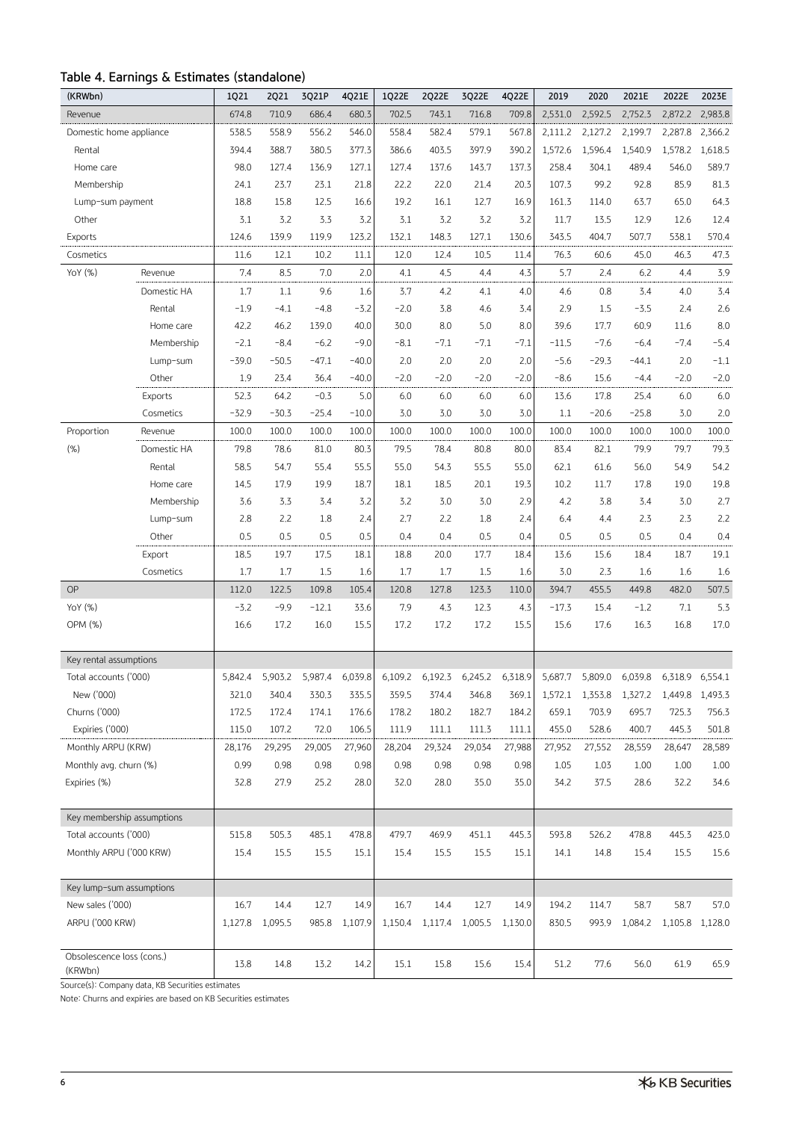# **Table 4. Earnings & Estimates (standalone)**

| (KRWbn)                    |             | 1Q21    | 2Q21    | 3Q21P   | 4Q21E   | 1Q22E   | 2Q22E   | 3Q22E   | 4Q22E   | 2019    | 2020    | 2021E   | 2022E   | 2023E           |
|----------------------------|-------------|---------|---------|---------|---------|---------|---------|---------|---------|---------|---------|---------|---------|-----------------|
| Revenue                    |             | 674.8   | 710.9   | 686.4   | 680.3   | 702.5   | 743.1   | 716.8   | 709.8   | 2,531.0 | 2,592.5 | 2,752.3 | 2,872.2 | 2,983.8         |
| Domestic home appliance    |             | 538.5   | 558.9   | 556.2   | 546.0   | 558.4   | 582.4   | 579.1   | 567.8   | 2,111.2 | 2,127.2 | 2,199.7 | 2,287.8 | 2,366.2         |
| Rental                     |             | 394.4   | 388.7   | 380.5   | 377.3   | 386.6   | 403.5   | 397.9   | 390.2   | 1,572.6 | 1,596.4 | 1,540.9 | 1,578.2 | 1,618.5         |
| Home care                  |             | 98.0    | 127.4   | 136.9   | 127.1   | 127.4   | 137.6   | 143.7   | 137.3   | 258.4   | 304.1   | 489.4   | 546.0   | 589.7           |
| Membership                 |             | 24.1    | 23.7    | 23.1    | 21.8    | 22.2    | 22.0    | 21.4    | 20.3    | 107.3   | 99.2    | 92.8    | 85.9    | 81.3            |
| Lump-sum payment           |             | 18.8    | 15.8    | 12.5    | 16.6    | 19.2    | 16.1    | 12.7    | 16.9    | 161.3   | 114.0   | 63.7    | 65.0    | 64.3            |
| Other                      |             | 3.1     | 3.2     | 3.3     | 3.2     | 3.1     | 3.2     | 3.2     | 3.2     | 11.7    | 13.5    | 12.9    | 12.6    | 12.4            |
| Exports                    |             | 124.6   | 139.9   | 119.9   | 123.2   | 132.1   | 148.3   | 127.1   | 130.6   | 343.5   | 404.7   | 507.7   | 538.1   | 570.4           |
| Cosmetics                  |             | 11.6    | 12.1    | 10.2    | 11.1    | 12.0    | 12.4    | 10.5    | 11.4    | 76.3    | 60.6    | 45.0    | 46,3    | 47.3            |
| YoY (%)                    | Revenue     | 7.4     | 8.5     | 7.0     | 2,0     | 4.1     | 4.5     | 4,4     | 4.3     | 5.7     | 2,4     | 6.2     | 4,4     | 3.9             |
|                            | Domestic HA | 1.7     | 1.1     | 9.6     | 1.6     | 3.7     | 4.2     | 4.1     | 4.0     | 4.6     | 0.8     | 3.4     | 4.0     | 3.4             |
|                            | Rental      | $-1.9$  | $-4.1$  | $-4.8$  | $-3.2$  | $-2.0$  | 3.8     | 4.6     | 3,4     | 2.9     | 1.5     | $-3.5$  | 2,4     | 2.6             |
|                            | Home care   | 42.2    | 46.2    | 139.0   | 40.0    | 30.0    | 8.0     | 5.0     | 8.0     | 39.6    | 17.7    | 60.9    | 11.6    | 8.0             |
|                            | Membership  | $-2.1$  | $-8.4$  | $-6.2$  | $-9.0$  | $-8.1$  | $-7.1$  | $-7.1$  | $-7.1$  | $-11.5$ | $-7.6$  | $-6.4$  | $-7.4$  | $-5.4$          |
|                            | Lump-sum    | $-39.0$ | $-50.5$ | $-47.1$ | $-40.0$ | 2.0     | 2.0     | 2.0     | 2.0     | $-5.6$  | $-29.3$ | $-44.1$ | 2,0     | $-1.1$          |
|                            | Other       | 1.9     | 23.4    | 36.4    | $-40.0$ | $-2.0$  | $-2.0$  | $-2.0$  | $-2.0$  | $-8.6$  | 15.6    | $-4.4$  | $-2.0$  | $-2.0$          |
|                            | Exports     | 52.3    | 64.2    | $-0.3$  | 5.0     | 6.0     | 6.0     | 6.0     | 6.0     | 13.6    | 17.8    | 25.4    | 6.0     | $6.0\,$         |
|                            | Cosmetics   | $-32.9$ | $-30.3$ | $-25.4$ | $-10.0$ | 3.0     | 3.0     | 3.0     | 3.0     | 1.1     | $-20.6$ | $-25.8$ | 3.0     | 2.0             |
| Proportion                 | Revenue     | 100.0   | 100.0   | 100.0   | 100.0   | 100.0   | 100.0   | 100.0   | 100.0   | 100.0   | 100.0   | 100.0   | 100.0   | 100.0           |
| (% )                       | Domestic HA | 79.8    | 78.6    | 81.0    | 80.3    | 79.5    | 78.4    | 80.8    | 80.0    | 83.4    | 82.1    | 79.9    | 79.7    | 79.3            |
|                            | Rental      | 58.5    | 54.7    | 55.4    | 55.5    | 55.0    | 54.3    | 55.5    | 55.0    | 62.1    | 61.6    | 56.0    | 54,9    | 54.2            |
|                            | Home care   | 14.5    | 17.9    | 19.9    | 18.7    | 18.1    | 18.5    | 20,1    | 19.3    | 10.2    | 11.7    | 17.8    | 19.0    | 19.8            |
|                            | Membership  | 3.6     | 3.3     | 3.4     | 3.2     | 3.2     | 3.0     | 3.0     | 2.9     | 4.2     | 3.8     | 3.4     | 3.0     | 2.7             |
|                            | Lump-sum    | 2.8     | 2.2     | 1.8     | 2.4     | 2.7     | 2.2     | 1.8     | 2.4     | 6.4     | 4.4     | 2.3     | 2.3     | 2.2             |
|                            | Other       | 0.5     | 0.5     | 0.5     | 0.5     | 0.4     | 0.4     | 0.5     | 0.4     | 0.5     | 0.5     | 0.5     | 0.4     | 0.4             |
|                            | Export      | 18.5    | 19.7    | 17.5    | 18.1    | 18.8    | 20.0    | 17.7    | 18.4    | 13.6    | 15.6    | 18.4    | 18.7    | 19.1            |
|                            | Cosmetics   | 1.7     | 1.7     | 1.5     | 1.6     | 1.7     | 1.7     | 1.5     | 1.6     | 3.0     | 2.3     | 1.6     | 1.6     | 1.6             |
| <b>OP</b>                  |             | 112.0   | 122.5   | 109.8   | 105.4   | 120.8   | 127.8   | 123.3   | 110.0   | 394.7   | 455.5   | 449.8   | 482.0   | 507.5           |
| YoY (%)                    |             | $-3.2$  | $-9.9$  | $-12.1$ | 33.6    | 7.9     | 4.3     | 12.3    | 4.3     | $-17.3$ | 15.4    | $-1.2$  | 7.1     | 5.3             |
| OPM (%)                    |             | 16.6    | 17.2    | 16.0    | 15.5    | 17.2    | 17.2    | 17.2    | 15.5    | 15.6    | 17.6    | 16.3    | 16.8    | 17.0            |
|                            |             |         |         |         |         |         |         |         |         |         |         |         |         |                 |
| Key rental assumptions     |             |         |         |         |         |         |         |         |         |         |         |         |         |                 |
| Total accounts ('000)      |             | 5,842,4 | 5,903.2 | 5,987.4 | 6,039.8 | 6,109.2 | 6,192.3 | 6,245.2 | 6,318.9 | 5,687.7 | 5,809.0 | 6,039.8 | 6,318.9 | 6,554.1         |
| New ('000)                 |             | 321.0   | 340.4   | 330.3   | 335.5   | 359.5   | 374.4   | 346.8   | 369.1   | 1,572.1 | 1,353.8 | 1,327.2 |         | 1,449.8 1,493.3 |
| Churns ('000)              |             | 172.5   | 172.4   | 174.1   | 176.6   | 178.2   | 180.2   | 182.7   | 184.2   | 659.1   | 703.9   | 695.7   | 725.3   | 756.3           |
| Expiries ('000)            |             | 115.0   | 107.2   | 72.0    | 106.5   | 111.9   | 111.1   | 111.3   | 111.1   | 455.0   | 528.6   | 400.7   | 445.3   | 501.8           |
| Monthly ARPU (KRW)         |             | 28,176  | 29,295  | 29,005  | 27,960  | 28,204  | 29,324  | 29,034  | 27,988  | 27,952  | 27,552  | 28,559  | 28,647  | 28,589          |
| Monthly avg. churn (%)     |             | 0.99    | 0.98    | 0.98    | 0.98    | 0.98    | 0.98    | 0.98    | 0.98    | 1.05    | 1.03    | 1.00    | 1.00    | 1.00            |
| Expiries (%)               |             | 32.8    | 27.9    | 25.2    | 28.0    | 32.0    | 28.0    | 35.0    | 35.0    | 34.2    | 37.5    | 28.6    | 32.2    | 34.6            |
| Key membership assumptions |             |         |         |         |         |         |         |         |         |         |         |         |         |                 |
| Total accounts ('000)      |             | 515.8   | 505.3   | 485.1   | 478.8   | 479.7   | 469.9   | 451.1   | 445.3   | 593.8   | 526.2   | 478.8   | 445.3   | 423.0           |
| Monthly ARPU ('000 KRW)    |             | 15.4    | 15.5    | 15.5    | 15.1    | 15.4    | 15.5    | 15.5    | 15.1    | 14.1    | 14.8    | 15.4    | 15.5    | 15.6            |
|                            |             |         |         |         |         |         |         |         |         |         |         |         |         |                 |
| Key lump-sum assumptions   |             |         |         |         |         |         |         |         |         |         |         |         |         |                 |
| New sales ('000)           |             | 16.7    | 14.4    | 12.7    | 14.9    | 16.7    | 14.4    | 12.7    | 14.9    | 194.2   | 114.7   | 58.7    | 58.7    | 57.0            |
| ARPU ('000 KRW)            |             | 1,127.8 | 1,095.5 | 985.8   | 1,107.9 | 1,150.4 | 1,117.4 | 1,005.5 | 1,130.0 | 830.5   | 993.9   | 1,084.2 |         | 1,105.8 1,128.0 |
| Obsolescence loss (cons.)  |             |         |         |         |         |         |         |         |         |         |         |         |         |                 |
| (KRWbn)                    |             | 13.8    | 14.8    | 13.2    | 14.2    | 15.1    | 15.8    | 15.6    | 15.4    | 51.2    | 77.6    | 56.0    | 61.9    | 65.9            |

Source(s): Company data, KB Securities estimates

Note: Churns and expiries are based on KB Securities estimates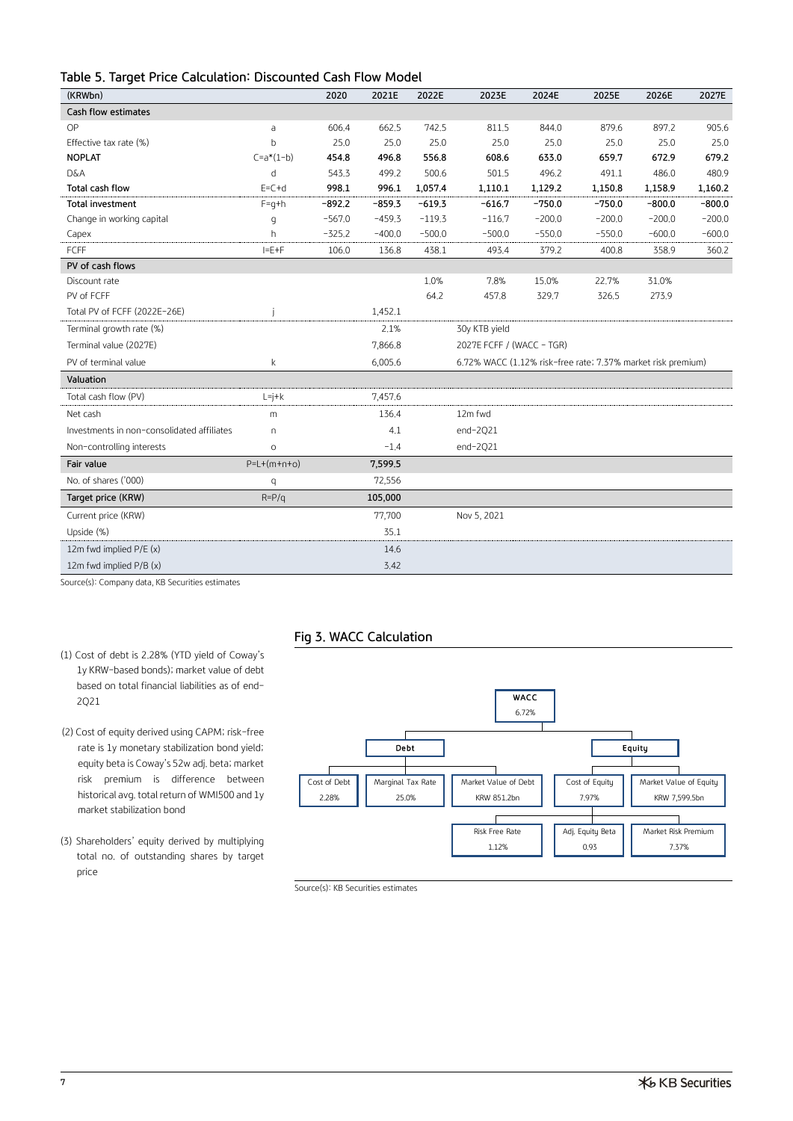| Table 5. Target Price Calculation: Discounted Cash Flow Model |  |  |  |  |  |  |
|---------------------------------------------------------------|--|--|--|--|--|--|
|---------------------------------------------------------------|--|--|--|--|--|--|

| (KRWbn)                                    |               | 2020     | 2021E    | 2022E    | 2023E                                                        | 2024E    | 2025E    | 2026E    | 2027E    |
|--------------------------------------------|---------------|----------|----------|----------|--------------------------------------------------------------|----------|----------|----------|----------|
| Cash flow estimates                        |               |          |          |          |                                                              |          |          |          |          |
| OP                                         | a             | 606.4    | 662.5    | 742.5    | 811.5                                                        | 844.0    | 879.6    | 897.2    | 905.6    |
| Effective tax rate (%)                     | $\mathsf{h}$  | 25.0     | 25.0     | 25.0     | 25.0                                                         | 25.0     | 25.0     | 25.0     | 25.0     |
| <b>NOPLAT</b>                              | $C=a*(1-b)$   | 454.8    | 496.8    | 556.8    | 608.6                                                        | 633.0    | 659.7    | 672.9    | 679.2    |
| <b>D&amp;A</b>                             | d             | 543.3    | 499.2    | 500.6    | 501.5                                                        | 496.2    | 491.1    | 486.0    | 480.9    |
| Total cash flow                            | $E=C+d$       | 998.1    | 996.1    | 1,057.4  | 1,110.1                                                      | 1,129.2  | 1,150.8  | 1,158.9  | 1,160.2  |
| Total investment                           | $F = q + h$   | $-892.2$ | $-859.3$ | $-619.3$ | $-616.7$                                                     | $-750.0$ | $-750.0$ | $-800.0$ | $-800.0$ |
| Change in working capital                  | q             | $-567.0$ | $-459.3$ | $-119.3$ | $-116.7$                                                     | $-200.0$ | $-200.0$ | $-200.0$ | $-200.0$ |
| Capex                                      | h             | $-325.2$ | $-400.0$ | $-500.0$ | $-500.0$                                                     | $-550.0$ | $-550.0$ | $-600.0$ | $-600.0$ |
| FCFF                                       | $I = E + F$   | 106.0    | 136.8    | 438.1    | 493.4                                                        | 379.2    | 400.8    | 358.9    | 360.2    |
| PV of cash flows                           |               |          |          |          |                                                              |          |          |          |          |
| Discount rate                              |               |          |          | 1.0%     | 7.8%                                                         | 15.0%    | 22.7%    | 31.0%    |          |
| PV of FCFF                                 |               |          |          | 64.2     | 457.8                                                        | 329.7    | 326.5    | 273.9    |          |
| Total PV of FCFF (2022E-26E)               |               |          | 1,452.1  |          |                                                              |          |          |          |          |
| Terminal growth rate (%)                   |               |          | 2.1%     |          | 30y KTB yield                                                |          |          |          |          |
| Terminal value (2027E)                     |               |          | 7,866.8  |          | 2027E FCFF / (WACC - TGR)                                    |          |          |          |          |
| PV of terminal value                       | k             |          | 6,005.6  |          | 6.72% WACC (1.12% risk-free rate; 7.37% market risk premium) |          |          |          |          |
| Valuation                                  |               |          |          |          |                                                              |          |          |          |          |
| Total cash flow (PV)                       | $L = j + k$   |          | 7,457.6  |          |                                                              |          |          |          |          |
| Net cash                                   | m             |          | 136.4    |          | 12m fwd                                                      |          |          |          |          |
| Investments in non-consolidated affiliates | $\cap$        |          | 4.1      |          | $end-2Q21$                                                   |          |          |          |          |
| Non-controlling interests                  | $\circ$       |          | $-1.4$   |          | $end-2Q21$                                                   |          |          |          |          |
| Fair value                                 | $P=L+(m+n+o)$ |          | 7,599.5  |          |                                                              |          |          |          |          |
| No. of shares ('000)                       | q             |          | 72,556   |          |                                                              |          |          |          |          |
| Target price (KRW)                         | $R = P/q$     |          | 105,000  |          |                                                              |          |          |          |          |
| Current price (KRW)                        |               |          | 77,700   |          | Nov 5, 2021                                                  |          |          |          |          |
| Upside (%)                                 |               |          | 35.1     |          |                                                              |          |          |          |          |
| 12m fwd implied P/E (x)                    |               |          | 14.6     |          |                                                              |          |          |          |          |
| 12m fwd implied P/B (x)                    |               |          | 3.42     |          |                                                              |          |          |          |          |
|                                            |               |          |          |          |                                                              |          |          |          |          |

Source(s): Company data, KB Securities estimates

# **Fig 3. WACC Calculation**

- (1) Cost of debt is 2.28% (YTD yield of Coway's 1y KRW-based bonds); market value of debt based on total financial liabilities as of end-2Q21
- (2) Cost of equity derived using CAPM; risk-free rate is 1y monetary stabilization bond yield; equity beta is Coway's 52w adj. beta; market risk premium is difference between historical avg. total return of WMI500 and 1y market stabilization bond
- (3) Shareholders' equity derived by multiplying total no. of outstanding shares by target price



Source(s): KB Securities estimates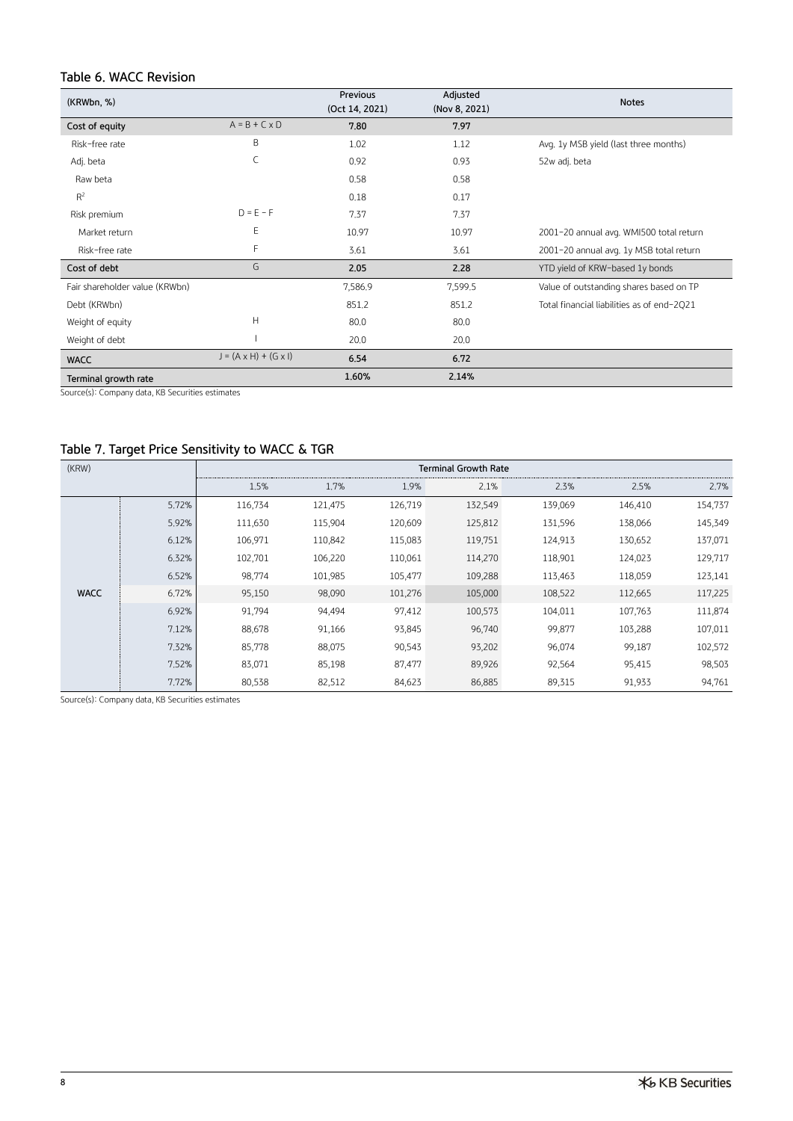# **Table 6. WACC Revision**

| (KRWbn, %)                     |                                   | Previous<br>(Oct 14, 2021) | Adjusted<br>(Nov 8, 2021) | <b>Notes</b>                               |
|--------------------------------|-----------------------------------|----------------------------|---------------------------|--------------------------------------------|
| Cost of equity                 | $A = B + C \times D$              | 7,80                       | 7.97                      |                                            |
| Risk-free rate                 | B                                 | 1.02                       | 1.12                      | Avg. 1y MSB yield (last three months)      |
| Adj. beta                      | C                                 | 0.92                       | 0.93                      | 52w adj. beta                              |
| Raw beta                       |                                   | 0.58                       | 0.58                      |                                            |
| $R^2$                          |                                   | 0.18                       | 0.17                      |                                            |
| Risk premium                   | $D = E - F$                       | 7.37                       | 7.37                      |                                            |
| Market return                  | E                                 | 10.97                      | 10.97                     | 2001-20 annual avg. WMI500 total return    |
| Risk-free rate                 | F                                 | 3.61                       | 3.61                      | 2001-20 annual avg. 1y MSB total return    |
| Cost of debt                   | G                                 | 2.05                       | 2,28                      | YTD yield of KRW-based 1y bonds            |
| Fair shareholder value (KRWbn) |                                   | 7,586.9                    | 7,599.5                   | Value of outstanding shares based on TP    |
| Debt (KRWbn)                   |                                   | 851.2                      | 851.2                     | Total financial liabilities as of end-2021 |
| Weight of equity               | Н                                 | 80.0                       | 80.0                      |                                            |
| Weight of debt                 |                                   | 20.0                       | 20.0                      |                                            |
| <b>WACC</b>                    | $J = (A \times H) + (G \times I)$ | 6.54                       | 6.72                      |                                            |
| Terminal growth rate           |                                   | 1.60%                      | 2.14%                     |                                            |

Source(s): Company data, KB Securities estimates

# **Table 7. Target Price Sensitivity to WACC & TGR**

| (KRW)       |       |         |         |         | <b>Terminal Growth Rate</b> |         |         |         |
|-------------|-------|---------|---------|---------|-----------------------------|---------|---------|---------|
|             |       | 1.5%    | 1.7%    | 1.9%    | 2.1%                        | 2.3%    | 2.5%    | 2.7%    |
|             | 5.72% | 116,734 | 121,475 | 126,719 | 132,549                     | 139,069 | 146,410 | 154,737 |
|             | 5.92% | 111,630 | 115,904 | 120,609 | 125,812                     | 131,596 | 138,066 | 145,349 |
|             | 6.12% | 106,971 | 110,842 | 115,083 | 119,751                     | 124,913 | 130,652 | 137,071 |
|             | 6.32% | 102,701 | 106,220 | 110,061 | 114,270                     | 118,901 | 124,023 | 129,717 |
|             | 6.52% | 98,774  | 101,985 | 105,477 | 109,288                     | 113,463 | 118,059 | 123,141 |
| <b>WACC</b> | 6.72% | 95,150  | 98,090  | 101,276 | 105,000                     | 108,522 | 112,665 | 117,225 |
|             | 6.92% | 91,794  | 94,494  | 97,412  | 100,573                     | 104,011 | 107,763 | 111,874 |
|             | 7.12% | 88,678  | 91,166  | 93,845  | 96,740                      | 99,877  | 103,288 | 107,011 |
|             | 7.32% | 85,778  | 88,075  | 90,543  | 93,202                      | 96,074  | 99,187  | 102,572 |
|             | 7.52% | 83,071  | 85,198  | 87,477  | 89,926                      | 92,564  | 95,415  | 98,503  |
|             | 7.72% | 80,538  | 82,512  | 84,623  | 86,885                      | 89,315  | 91,933  | 94,761  |

Source(s): Company data, KB Securities estimates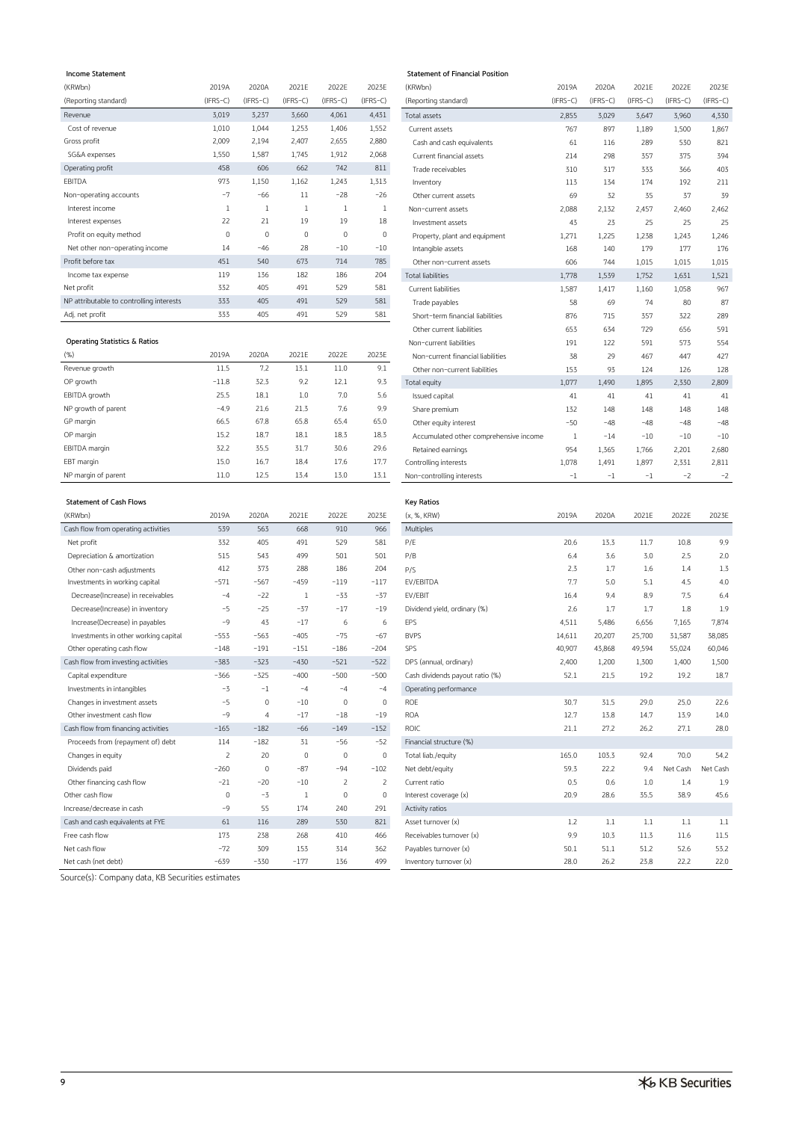#### $Income Statement$

| $(IFRS-C)$<br>$(IFRS-C)$<br>$(IFRS-C)$<br>$(IFRS-C)$<br>$(IFRS-C)$<br>$(IFRS-C)$<br>$(IFRS-C)$<br>$(IFRS-C)$<br>(Reporting standard)<br>(Reporting standard)<br>4,431<br>3,019<br>3,237<br>4,061<br>Revenue<br>3,660<br>Total assets<br>2,855<br>3,029<br>3,647<br>Cost of revenue<br>1,010<br>1,552<br>1,044<br>1,253<br>1,406<br>897<br>767<br>1,189<br>Current assets | $(IFRS-C)$<br>3,960<br>1,500 | (IFRS-C<br>4,330 |
|--------------------------------------------------------------------------------------------------------------------------------------------------------------------------------------------------------------------------------------------------------------------------------------------------------------------------------------------------------------------------|------------------------------|------------------|
|                                                                                                                                                                                                                                                                                                                                                                          |                              |                  |
|                                                                                                                                                                                                                                                                                                                                                                          |                              |                  |
|                                                                                                                                                                                                                                                                                                                                                                          |                              | 1,867            |
| 2,009<br>2,880<br>2,194<br>Gross profit<br>2,407<br>2,655<br>289<br>Cash and cash equivalents<br>61<br>116                                                                                                                                                                                                                                                               | 530                          | 821              |
| 2,068<br>1,550<br>1,587<br>SG&A expenses<br>1,912<br>1,745<br>Current financial assets<br>298<br>357<br>214                                                                                                                                                                                                                                                              | 375                          | 394              |
| 811<br>458<br>606<br>742<br>Operating profit<br>662<br>317<br>Trade receivables<br>310<br>333                                                                                                                                                                                                                                                                            | 366                          | 403              |
| EBITDA<br>973<br>1,150<br>1,162<br>1,243<br>1,313<br>174<br>113<br>134<br>Inventory                                                                                                                                                                                                                                                                                      | 192                          | 211              |
| $-28$<br>$-7$<br>$-26$<br>$-66$<br>11<br>Non-operating accounts<br>32<br>35<br>69<br>Other current assets                                                                                                                                                                                                                                                                | 37                           | 39               |
| Interest income<br>1<br>2,088<br>2,457<br>2,132<br>Non-current assets                                                                                                                                                                                                                                                                                                    | 2,460                        | 2,462            |
| 19<br>18<br>22<br>21<br>19<br>Interest expenses<br>43<br>23<br>25<br>Investment assets                                                                                                                                                                                                                                                                                   | 25                           | 25               |
| $\mathbf 0$<br>$\mathbf 0$<br>$\circ$<br>$\mathbf{0}$<br>0<br>Profit on equity method<br>1,225<br>1,238<br>1,271<br>Property, plant and equipment                                                                                                                                                                                                                        | 1,243                        | 1,246            |
| 28<br>$-10$<br>$-10$<br>Net other non-operating income<br>14<br>$-46$<br>Intangible assets<br>140<br>179<br>168                                                                                                                                                                                                                                                          | 177                          | 176              |
| 785<br>673<br>714<br>Profit before tax<br>540<br>451<br>744<br>Other non-current assets<br>606<br>1,015                                                                                                                                                                                                                                                                  | 1,015                        | 1,015            |
| 182<br>186<br>119<br>136<br>204<br>Income tax expense<br><b>Total liabilities</b><br>1,778<br>1,539<br>1,752                                                                                                                                                                                                                                                             | 1,631                        | 1,521            |
| 405<br>529<br>581<br>Net profit<br>332<br>491<br>Current liabilities<br>1,587<br>1,417<br>1,160                                                                                                                                                                                                                                                                          | 1,058                        | 967              |
| 581<br>405<br>529<br>333<br>491<br>NP attributable to controlling interests<br>58<br>69<br>74<br>Trade payables                                                                                                                                                                                                                                                          | 80                           | 87               |
| 333<br>405<br>491<br>529<br>581<br>Adj, net profit<br>357<br>Short-term financial liabilities<br>876<br>715                                                                                                                                                                                                                                                              | 322                          | 289              |

# **Operating Statistics & Ratios**

| (% )                | 2019A   | 2020A | 2021E | 2022E | 2023E | Non-current financial liabilities      | 38    | 29    | 467   | 447   | 427   |
|---------------------|---------|-------|-------|-------|-------|----------------------------------------|-------|-------|-------|-------|-------|
| Revenue growth      | 11.5    | 7.2   | 13.1  | 11.0  | 9.1   | Other non-current liabilities          | 153   | 93    | 124   | 126   | 128   |
| OP growth           | $-11.8$ | 32.3  | 9.2   | 12.1  | 9.3   | Total equity                           | 1,077 | 1,490 | 1,895 | 2,330 | 2,809 |
| EBITDA growth       | 25.5    | 18.1  | 1.0   | 7.0   | 5.6   | Issued capital                         | 41    | 41    | 41    | 41    | 41    |
| NP growth of parent | $-4.9$  | 21.6  | 21.3  | 7.6   | 9,9   | Share premium                          | 132   | 148   | 148   | 148   | 148   |
| GP margin           | 66.5    | 67.8  | 65.8  | 65.4  | 65.0  | Other equity interest                  | $-50$ | $-48$ | $-48$ | $-48$ | $-48$ |
| OP margin           | 15.2    | 18.7  | 18.1  | 18.3  | 18.3  | Accumulated other comprehensive income |       | $-14$ | $-10$ | $-10$ | $-10$ |
| EBITDA margin       | 32.2    | 35.5  | 31.7  | 30.6  | 29.6  | Retained earnings                      | 954   | 1,365 | 1,766 | 2,201 | 2,680 |
| EBT margin          | 15.0    | 16.7  | 18.4  | 17.6  | 17.7  | Controlling interests                  | 1,078 | 1,491 | 1,897 | 2,331 | 2,811 |
| NP margin of parent | 11.0    | 12,5  | 13.4  | 13.0  | 13.1  | Non-controlling interests              | -1    | ÷     | $-1$  | $-2$  | Ξž    |

### **Statement of Cash Flows**

| (KRWbn)                              | 2019A       | 2020A          | 2021E       | 2022E          | 2023E          | (x, %, KRW)                     | 2019A  | 2020A  | 2021E  | 2022E    | 2023E           |
|--------------------------------------|-------------|----------------|-------------|----------------|----------------|---------------------------------|--------|--------|--------|----------|-----------------|
| Cash flow from operating activities  | 539         | 563            | 668         | 910            | 966            | Multiples                       |        |        |        |          |                 |
| Net profit                           | 332         | 405            | 491         | 529            | 581            | P/E                             | 20.6   | 13.3   | 11.7   | 10.8     | 9,9             |
| Depreciation & amortization          | 515         | 543            | 499         | 501            | 501            | P/B                             | 6.4    | 3.6    | 3,0    | 2.5      | 2.0             |
| Other non-cash adjustments           | 412         | 373            | 288         | 186            | 204            | P/S                             | 2.3    | 1.7    | 1.6    | 1.4      | 1.3             |
| Investments in working capital       | $-571$      | $-567$         | $-459$      | $-119$         | $-117$         | EV/EBITDA                       | 7.7    | 5.0    | 5,1    | 4.5      | 4 <sub>1</sub>  |
| Decrease(Increase) in receivables    | $-4$        | $-22$          | 1           | $-33$          | $-37$          | EV/EBIT                         | 16.4   | 9.4    | 8.9    | 7.5      | 6,4             |
| Decrease(Increase) in inventory      | $-5$        | $-25$          | $-37$       | $-17$          | $-19$          | Dividend yield, ordinary (%)    | 2.6    | 1.7    | 1.7    | 1.8      | 1.9             |
| Increase(Decrease) in payables       | $-9$        | 43             | $-17$       | 6              | 6              | EPS                             | 4,511  | 5,486  | 6,656  | 7,165    | 7,874           |
| Investments in other working capital | $-553$      | $-563$         | $-405$      | $-75$          | $-67$          | <b>BVPS</b>                     | 14,611 | 20,207 | 25,700 | 31,587   | 38,085          |
| Other operating cash flow            | $-148$      | $-191$         | $-151$      | $-186$         | $-204$         | SPS                             | 40,907 | 43,868 | 49,594 | 55,024   | 60,046          |
| Cash flow from investing activities  | $-383$      | $-323$         | $-430$      | $-521$         | $-522$         | DPS (annual, ordinary)          | 2,400  | 1.200  | 1.300  | 1,400    | 1,500           |
| Capital expenditure                  | $-366$      | $-325$         | $-400$      | $-500$         | $-500$         | Cash dividends payout ratio (%) | 52.1   | 21.5   | 19.2   | 19.2     | 18.7            |
| Investments in intangibles           | $-3$        | $-1$           | $-4$        | $-4$           | $-4$           | Operating performance           |        |        |        |          |                 |
| Changes in investment assets         | $-5$        | $\mathbf{0}$   | $-10$       | $\mathbf 0$    | $\mathbf 0$    | <b>ROE</b>                      | 30.7   | 31.5   | 29.0   | 25.0     | 22.6            |
| Other investment cash flow           | $-9$        | $\overline{4}$ | $-17$       | $-18$          | $-19$          | <b>ROA</b>                      | 12.7   | 13.8   | 14.7   | 13.9     | 14 <sub>c</sub> |
| Cash flow from financing activities  | $-165$      | $-182$         | $-66$       | $-149$         | $-152$         | <b>ROIC</b>                     | 21.1   | 27.2   | 26.2   | 27.1     | 28 <sub>c</sub> |
| Proceeds from (repayment of) debt    | 114         | $-182$         | 31          | $-56$          | $-52$          | Financial structure (%)         |        |        |        |          |                 |
| Changes in equity                    | 2           | 20             | $\mathbf 0$ | $\mathbf{0}$   | $\mathbf 0$    | Total liab./equity              | 165.0  | 103.3  | 92.4   | 70.0     | 54,2            |
| Dividends paid                       | $-260$      | $\mathbf{0}$   | $-87$       | $-94$          | $-102$         | Net debt/equity                 | 59.3   | 22.2   | 9,4    | Net Cash | Net Cash        |
| Other financing cash flow            | $-21$       | $-20$          | $-10$       | $\overline{2}$ | $\overline{2}$ | Current ratio                   | 0.5    | 0.6    | 1.0    | 1.4      | 1.9             |
| Other cash flow                      | $\mathbf 0$ | $-3$           | 1           | $\mathbf 0$    | $\mathbf 0$    | Interest coverage (x)           | 20,9   | 28.6   | 35.5   | 38.9     | 45.6            |
| Increase/decrease in cash            | $-9$        | 55             | 174         | 240            | 291            | Activity ratios                 |        |        |        |          |                 |
| Cash and cash equivalents at FYE     | 61          | 116            | 289         | 530            | 821            | Asset turnover (x)              | 1,2    | 1,1    | 1,1    | 1,1      | 1,1             |
| Free cash flow                       | 173         | 238            | 268         | 410            | 466            | Receivables turnover (x)        | 9.9    | 10.3   | 11.3   | 11.6     | 11.5            |
| Net cash flow                        | $-72$       | 309            | 153         | 314            | 362            | Payables turnover (x)           | 50.1   | 51.1   | 51,2   | 52.6     | 53,2            |
| Net cash (net debt)                  | $-639$      | $-330$         | $-177$      | 136            | 499            | Inventory turnover (x)          | 28.0   | 26.2   | 23.8   | 22,2     | 22.0            |

Source(s): Company data, KB Securities estimates

| Income Statement                         |                |                |              |                  |                | Statement of Financial Position        |              |            |            |            |            |
|------------------------------------------|----------------|----------------|--------------|------------------|----------------|----------------------------------------|--------------|------------|------------|------------|------------|
| (KRWbn)                                  | 2019A          | 2020A          | 2021E        | 2022E            | 2023E          | (KRWbn)                                | 2019A        | 2020A      | 2021E      | 2022E      | 2023E      |
| (Reporting standard)                     | $(IFRS-C)$     | $(IFRS-C)$     | $(IFRS-C)$   | $(IFRS-C)$       | $(IFRS-C)$     | (Reporting standard)                   | $(IFRS-C)$   | $(IFRS-C)$ | $(IFRS-C)$ | $(IFRS-C)$ | $(IFRS-C)$ |
| Revenue                                  | 3,019          | 3,237          | 3,660        | 4,061            | 4,431          | Total assets                           | 2,855        | 3,029      | 3,647      | 3,960      | 4,330      |
| Cost of revenue                          | 1,010          | 1,044          | 1,253        | 1,406            | 1,552          | Current assets                         | 767          | 897        | 1,189      | 1,500      | 1,867      |
| Gross profit                             | 2,009          | 2,194          | 2,407        | 2,655            | 2,880          | Cash and cash equivalents              | 61           | 116        | 289        | 530        | 821        |
| SG&A expenses                            | 1,550          | 1,587          | 1,745        | 1,912            | 2,068          | Current financial assets               | 214          | 298        | 357        | 375        | 394        |
| Operating profit                         | 458            | 606            | 662          | 742              | 811            | Trade receivables                      | 310          | 317        | 333        | 366        | 403        |
| EBITDA                                   | 973            | 1,150          | 1,162        | 1,243            | 1,313          | Inventory                              | 113          | 134        | 174        | 192        | 211        |
| Non-operating accounts                   | $-7$           | $-66$          | 11           | $-28$            | $-26$          | Other current assets                   | 69           | 32         | 35         | 37         | 39         |
| Interest income                          | 1              | $\mathbf{1}$   | $\mathbf{1}$ | 1                | $\mathbf{1}$   | Non-current assets                     | 2,088        | 2,132      | 2,457      | 2,460      | 2,462      |
| Interest expenses                        | 22             | 21             | 19           | 19               | 18             | Investment assets                      | 43           | 23         | 25         | 25         | 25         |
| Profit on equity method                  | $\mathbf 0$    | $\,0\,$        | $\mathbf 0$  | $\mathbf 0$      | $\,0\,$        | Property, plant and equipment          | 1,271        | 1,225      | 1,238      | 1,243      | 1,246      |
| Net other non-operating income           | 14             | $-46$          | 28           | $-10$            | $-10$          | Intangible assets                      | 168          | 140        | 179        | 177        | 176        |
| Profit before tax                        | 451            | 540            | 673          | 714              | 785            | Other non-current assets               | 606          | 744        | 1,015      | 1,015      | 1,015      |
| Income tax expense                       | 119            | 136            | 182          | 186              | 204            | <b>Total liabilities</b>               | 1,778        | 1,539      | 1,752      | 1,631      | 1,521      |
| Net profit                               | 332            | 405            | 491          | 529              | 581            | Current liabilities                    | 1,587        | 1,417      | 1,160      | 1,058      | 967        |
| NP attributable to controlling interests | 333            | 405            | 491          | 529              | 581            | Trade payables                         | 58           | 69         | 74         | 80         | 87         |
| Adj. net profit                          | 333            | 405            | 491          | 529              | 581            | Short-term financial liabilities       | 876          | 715        | 357        | 322        | 289        |
|                                          |                |                |              |                  |                | Other current liabilities              | 653          | 634        | 729        | 656        | 591        |
| Operating Statistics & Ratios            |                |                |              |                  |                | Non-current liabilities                | 191          | 122        | 591        | 573        | 554        |
| (%)                                      | 2019A          | 2020A          | 2021E        | 2022E            | 2023E          | Non-current financial liabilities      | 38           | 29         | 467        | 447        | 427        |
| Revenue growth                           | 11.5           | 7.2            | 13.1         | 11.0             | 9.1            | Other non-current liabilities          | 153          | 93         | 124        | 126        | 128        |
| OP growth                                | $-11.8$        | 32.3           | 9.2          | 12.1             | 9.3            | Total equity                           | 1,077        | 1,490      | 1,895      | 2,330      | 2,809      |
| EBITDA growth                            | 25.5           | 18.1           | 1.0          | 7.0              | 5.6            | Issued capital                         | 41           | 41         | 41         | 41         | 41         |
| NP growth of parent                      | $-4.9$         | 21.6           | 21.3         | 7.6              | 9.9            | Share premium                          | 132          | 148        | 148        | 148        | 148        |
| GP margin                                | 66.5           | 67.8           | 65.8         | 65.4             | 65.0           | Other equity interest                  | -50          | $-48$      | $-48$      | -48        | -48        |
| OP margin                                | 15.2           | 18.7           | 18.1         | 18.3             | 18.3           | Accumulated other comprehensive income | $\mathbf{1}$ | $-14$      | $-10$      | $-10$      | $-10$      |
| EBITDA margin                            | 32.2           | 35.5           | 31.7         | 30.6             | 29.6           | Retained earnings                      | 954          | 1,365      | 1,766      | 2,201      | 2,680      |
| EBT margin                               | 15.0           | 16.7           | 18.4         | 17.6             | 17.7           | Controlling interests                  | 1,078        | 1,491      | 1,897      | 2,331      | 2,811      |
| NP margin of parent                      | 11.0           | 12.5           | 13.4         | 13.0             | 13.1           | Non-controlling interests              | $-1$         | $-1$       | $^{-1}$    | $-2$       | $-2$       |
|                                          |                |                |              |                  |                |                                        |              |            |            |            |            |
| <b>Statement of Cash Flows</b>           |                |                |              |                  |                | <b>Key Ratios</b>                      |              |            |            |            |            |
| (KRWbn)                                  | 2019A          | 2020A          | 2021E        | 2022E            | 2023E          | (x, %, KRW)                            | 2019A        | 2020A      | 2021E      | 2022E      | 2023E      |
| Cash flow from operating activities      | 539            | 563            | 668          | 910              | 966            | Multiples                              |              |            |            |            |            |
| Net profit                               | 332            | 405            | 491          | 529              | 581            | P/E                                    | 20.6         | 13.3       | 11.7       | 10.8       | 9.9        |
| Depreciation & amortization              | 515            | 543            | 499          | 501              | 501            | P/B                                    | 6.4          | 3.6        | 3.0        | 2.5        | 2.0        |
| Other non-cash adjustments               | 412            | 373            | 288          | 186              | 204            | P/S                                    | 2.3          | 1.7        | 1.6        | 1.4        | 1.3        |
| Investments in working capital           | $-571$         | $-567$         | $-459$       | $-119$           | $-117$         | EV/EBITDA                              | 7.7          | 5.0        | 5.1        | 4.5        | 4.0        |
| Decrease(Increase) in receivables        | $-4$           | $-22$          | 1            | $-33$            | $-37$          | EV/EBIT                                | 16.4         | 9,4        | 8.9        | 7.5        | 6.4        |
| Decrease(Increase) in inventory          | $-5$           | $-25$          | $-37$        | $-17$            | $-19$          | Dividend yield, ordinary (%)           | 2.6          | 1.7        | 1.7        | 1.8        | 1.9        |
| Increase(Decrease) in payables           | $-9$           | 43             | $-17$        | 6                | 6              | EPS                                    | 4,511        | 5,486      | 6,656      | 7,165      | 7,874      |
| Investments in other working capital     | $-553$         | $-563$         | $-405$       | $-75$            | $-67$          | <b>BVPS</b>                            | 14,611       | 20,207     | 25,700     | 31,587     | 38,085     |
| Other operating cash flow                | $-148$         | $-191$         | $-151$       | $-186$           | $-204$         | SPS                                    | 40,907       | 43,868     | 49,594     | 55,024     | 60,046     |
| Cash flow from investing activities      | $-383$         | $-323$         | $-430$       | $-521$           | $-522$         | DPS (annual, ordinary)                 | 2,400        | 1,200      | 1,300      | 1,400      | 1,500      |
| Capital expenditure                      | -366           | $-325$         | $-400$       | $-500$           | $-500$         | Cash dividends payout ratio (%)        | 52.1         | 21.5       | 19.2       | 19.2       | 18.7       |
| Investments in intangibles               | $-3$           | $-1$           | $-4$         | $-4$             | $-4$           | Operating performance                  |              |            |            |            |            |
| Changes in investment assets             | $-5$           | $\bf 0$        | $-10$        | $\boldsymbol{0}$ | $\,0\,$        | ROE                                    | 30.7         | 31.5       | 29.0       | 25.0       | 22.6       |
| Other investment cash flow               | $-9$           | $\overline{4}$ | $-17$        | $-18$            | $-19$          | <b>ROA</b>                             | 12.7         | 13.8       | 14.7       | 13.9       | 14.0       |
| Cash flow from financing activities      | $-165$         | $-182$         | $-66$        | $-149$           | $-152$         | <b>ROIC</b>                            | 21.1         | 27.2       | 26.2       | 27.1       | 28.0       |
| Proceeds from (repayment of) debt        | 114            | $-182$         | 31           | $-56$            | $-52$          | Financial structure (%)                |              |            |            |            |            |
| Changes in equity                        | $\overline{2}$ | 20             | $\mathbf 0$  | $\mathbb O$      | $\,0\,$        | Total liab./equity                     | 165.0        | 103.3      | 92.4       | 70.0       | 54.2       |
| Dividends paid                           | $-260$         | $\bf 0$        | $-87$        | $-94$            | $-102$         | Net debt/equity                        | 59.3         | 22.2       | 9.4        | Net Cash   | Net Cash   |
| Other financing cash flow                | $-21$          | $-20$          | $-10$        | $\sqrt{2}$       | $\overline{2}$ | Current ratio                          | 0.5          | 0.6        | 1.0        | 1.4        | 1.9        |
| Other cash flow                          | $\mathbb O$    | $-3$           | $\mathbf{1}$ | $\mathbf 0$      | $\,0\,$        | Interest coverage (x)                  | 20.9         | 28.6       | 35.5       | 38.9       | 45.6       |
| Increase/decrease in cash                | $-9$           | 55             | 174          | 240              | 291            | Activity ratios                        |              |            |            |            |            |
| Cash and cash equivalents at FYE         | 61             | 116            | 289          | 530              | 821            | Asset turnover (x)                     | 1.2          | 1,1        | 1.1        | 1,1        | 1.1        |
| Free cash flow                           | 173            | 238            | 268          | 410              | 466            | Receivables turnover (x)               | 9.9          | 10.3       | 11.3       | 11.6       | 11.5       |
| Net cash flow                            | $-72$          | 309            | 153          | 314              | 362            | Payables turnover (x)                  | 50.1         | 51.1       | 51.2       | 52.6       | 53.2       |
| Net cash (net debt)                      | $-639$         | $-330$         |              |                  | 499            | Inventory turnover (x)                 | 28.0         | 26.2       | 23.8       | 22.2       | 22.0       |
|                                          |                |                | $-177$       | 136              |                |                                        |              |            |            |            |            |